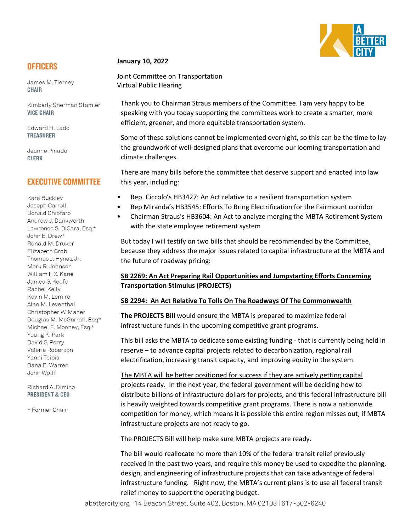

# **OFFICERS**

James M. Tierney **CHAIR** 

Kimberly Sherman Stamler **VICE CHAIR** 

Edward H. Ladd **TREASURER** 

Jeanne Pinado **CLERK** 

## **EXECUTIVE COMMITTEE**

Kara Buckley Joseph Carroll Donald Chiofaro Andrew J. Dankwerth Lawrence S. DiCara, Esq.\* John E. Drew\* Ronald M. Druker Elizabeth Grob Thomas J. Hynes, Jr. Mark R. Johnson William F.X. Kane James G. Keefe Rachel Kelly Kevin M. Lemire Alan M. Leventhal Christopher W. Maher Douglas M. McGarrah, Esq\* Michael E. Mooney, Esq.\* Young K. Park David G. Perry Valerie Roberson Yanni Tsipis Dana E. Warren John Wolff

#### Richard A. Dimino **PRESIDENT & CEO**

\* Former Chair

#### **January 10, 2022**

Joint Committee on Transportation Virtual Public Hearing

Thank you to Chairman Straus members of the Committee. I am very happy to be speaking with you today supporting the committees work to create a smarter, more efficient, greener, and more equitable transportation system.

Some of these solutions cannot be implemented overnight, so this can be the time to lay the groundwork of well-designed plans that overcome our looming transportation and climate challenges.

There are many bills before the committee that deserve support and enacted into law this year, including:

- Rep. Ciccolo's HB3427: An Act relative to a resilient transportation system
- Rep Miranda's HB3545: Efforts To Bring Electrification for the Fairmount corridor
- Chairman Straus's HB3604: An Act to analyze merging the MBTA Retirement System with the state employee retirement system

But today I will testify on two bills that should be recommended by the Committee, because they address the major issues related to capital infrastructure at the MBTA and the future of roadway pricing:

### **SB 2269: An Act Preparing Rail Opportunities and Jumpstarting Efforts Concerning Transportation Stimulus (PROJECTS)**

### **SB 2294: An Act Relative To Tolls On The Roadways Of The Commonwealth**

**The PROJECTS Bill** would ensure the MBTA is prepared to maximize federal infrastructure funds in the upcoming competitive grant programs.

This bill asks the MBTA to dedicate some existing funding - that is currently being held in reserve – to advance capital projects related to decarbonization, regional rail electrification, increasing transit capacity, and improving equity in the system.

The MBTA will be better positioned for success if they are actively getting capital projects ready. In the next year, the federal government will be deciding how to distribute billions of infrastructure dollars for projects, and this federal infrastructure bill is heavily weighted towards competitive grant programs. There is now a nationwide competition for money, which means it is possible this entire region misses out, if MBTA infrastructure projects are not ready to go.

The PROJECTS Bill will help make sure MBTA projects are ready.

The bill would reallocate no more than 10% of the federal transit relief previously received in the past two years, and require this money be used to expedite the planning, design, and engineering of infrastructure projects that can take advantage of federal infrastructure funding. Right now, the MBTA's current plans is to use all federal transit relief money to support the operating budget.